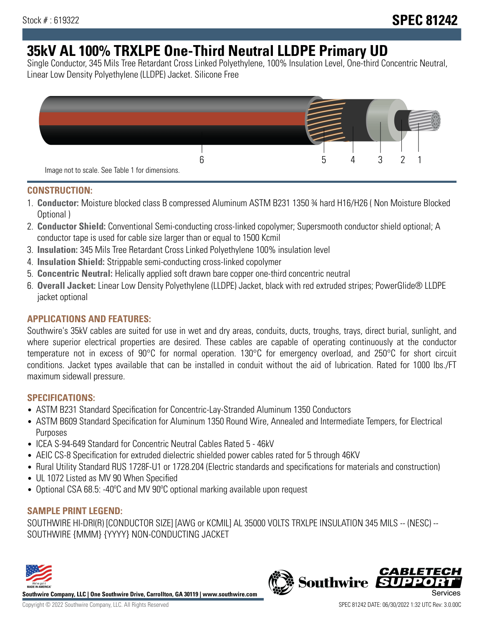# **35kV AL 100% TRXLPE One-Third Neutral LLDPE Primary UD**

Single Conductor, 345 Mils Tree Retardant Cross Linked Polyethylene, 100% Insulation Level, One-third Concentric Neutral, Linear Low Density Polyethylene (LLDPE) Jacket. Silicone Free



### **CONSTRUCTION:**

- 1. **Conductor:** Moisture blocked class B compressed Aluminum ASTM B231 1350 ¾ hard H16/H26 ( Non Moisture Blocked Optional )
- 2. **Conductor Shield:** Conventional Semi-conducting cross-linked copolymer; Supersmooth conductor shield optional; A conductor tape is used for cable size larger than or equal to 1500 Kcmil
- 3. **Insulation:** 345 Mils Tree Retardant Cross Linked Polyethylene 100% insulation level
- 4. **Insulation Shield:** Strippable semi-conducting cross-linked copolymer
- 5. **Concentric Neutral:** Helically applied soft drawn bare copper one-third concentric neutral
- 6. **Overall Jacket:** Linear Low Density Polyethylene (LLDPE) Jacket, black with red extruded stripes; PowerGlide® LLDPE jacket optional

## **APPLICATIONS AND FEATURES:**

Southwire's 35kV cables are suited for use in wet and dry areas, conduits, ducts, troughs, trays, direct burial, sunlight, and where superior electrical properties are desired. These cables are capable of operating continuously at the conductor temperature not in excess of 90°C for normal operation. 130°C for emergency overload, and 250°C for short circuit conditions. Jacket types available that can be installed in conduit without the aid of lubrication. Rated for 1000 lbs./FT maximum sidewall pressure.

## **SPECIFICATIONS:**

- ASTM B231 Standard Specification for Concentric-Lay-Stranded Aluminum 1350 Conductors
- ASTM B609 Standard Specification for Aluminum 1350 Round Wire, Annealed and Intermediate Tempers, for Electrical Purposes
- ICEA S-94-649 Standard for Concentric Neutral Cables Rated 5 46kV
- AEIC CS-8 Specification for extruded dielectric shielded power cables rated for 5 through 46KV
- Rural Utility Standard RUS 1728F-U1 or 1728.204 (Electric standards and specifications for materials and construction)
- UL 1072 Listed as MV 90 When Specified
- Optional CSA 68.5: -40ºC and MV 90ºC optional marking available upon request

## **SAMPLE PRINT LEGEND:**

SOUTHWIRE HI-DRI(R) [CONDUCTOR SIZE] [AWG or KCMIL] AL 35000 VOLTS TRXLPE INSULATION 345 MILS -- (NESC) -- SOUTHWIRE {MMM} {YYYY} NON-CONDUCTING JACKET



**Southwire Company, LLC | One Southwire Drive, Carrollton, GA 30119 | www.southwire.com**

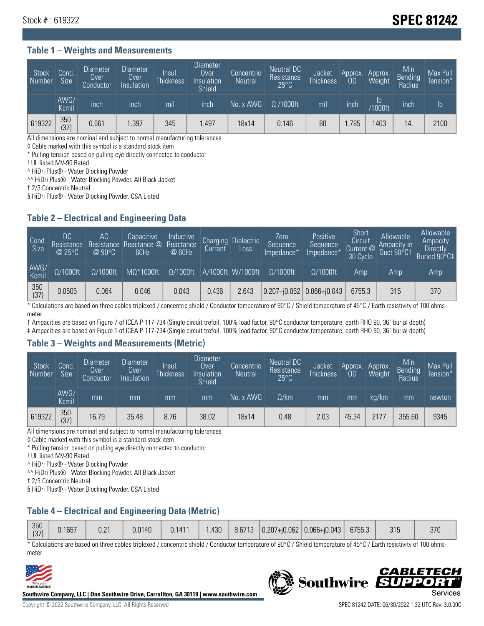## Stock # : 619322 **SPEC 81242**

#### **Table 1 – Weights and Measurements**

| Stock<br>Number | Cond<br>Size <sup>'</sup> | <b>Diameter</b><br>Over<br>Conductor | <b>Diameter</b><br>Over<br>Insulation | Insul.<br><b>Thickness</b> | Diameter<br>Over<br>Insulation<br><b>Shield</b> | Concentric<br><b>Neutral</b> | Neutral DC<br>Resistance<br>$25^{\circ}$ C | Jacket<br><b>Thickness</b> | Approx.<br>OD | Approx.<br>Weight | Min<br><b>Bending</b><br>Radius | Max Pull<br>Tension* |
|-----------------|---------------------------|--------------------------------------|---------------------------------------|----------------------------|-------------------------------------------------|------------------------------|--------------------------------------------|----------------------------|---------------|-------------------|---------------------------------|----------------------|
|                 | AWG/<br>Kcmil             | inch                                 | inch                                  | mil                        | inch                                            | No. x AWG                    | $\Omega$ /1000ft                           | mil                        | inch          | Ib<br>/1000ft     | inch                            | $\mathsf{lb}$        |
| 619322          | 350<br>(37)               | 0.661                                | .397                                  | 345                        | .497                                            | 18x14                        | 0.146                                      | 80                         | .785          | 463               | 14                              | 2100                 |

All dimensions are nominal and subject to normal manufacturing tolerances

◊ Cable marked with this symbol is a standard stock item

\* Pulling tension based on pulling eye directly connected to conductor

! UL listed MV-90 Rated

^ HiDri Plus® - Water Blocking Powder

^^ HiDri Plus® - Water Blocking Powder. All Black Jacket

† 2/3 Concentric Neutral

§ HiDri Plus® - Water Blocking Powder. CSA Listed

#### **Table 2 – Electrical and Engineering Data**

| Cond<br>Size  | DC<br>Resistance<br>@25°C | АC<br>Resistance<br>$@90^{\circ}C$ | Capacitive<br>Reactance @<br>60Hz | Inductive<br>Reactance<br>@ 60Hz | Charging<br>Current | <b>Dielectric</b><br>Loss | Zero<br>Sequence<br>Impedance* | Positive<br>Sequence<br>Impedance <sup>®</sup> | Short<br>Circuit<br>Current <sup>@</sup><br>30 Cycle | Allowable<br>Ampacity in<br>Duct 90°C1 | Allowable<br>Ampacity<br>Directly<br>Buried 90°C‡ |
|---------------|---------------------------|------------------------------------|-----------------------------------|----------------------------------|---------------------|---------------------------|--------------------------------|------------------------------------------------|------------------------------------------------------|----------------------------------------|---------------------------------------------------|
| AWG/<br>Kcmil | $\Omega/1000$ ft          | $\Omega/1000$ ft                   | $M\Omega^*1000$ ft                | $\Omega/1000$ ft                 |                     | A/1000ft W/1000ft         | $\Omega/1000$ ft               | $\Omega$ /1000ft                               | Amp                                                  | Amp                                    | Amp                                               |
| 350<br>(37)   | 0.0505                    | 0.064                              | 0.046                             | 0.043                            | 0.436               | 2.643                     | $0.207 + 0.062$ 0.066+ $0.043$ |                                                | 6755.3                                               | 315                                    | 370                                               |

\* Calculations are based on three cables triplexed / concentric shield / Conductor temperature of 90°C / Shield temperature of 45°C / Earth resistivity of 100 ohmsmeter

† Ampacities are based on Figure 7 of ICEA P-117-734 (Single circuit trefoil, 100% load factor, 90°C conductor temperature, earth RHO 90, 36" burial depth)

‡ Ampacities are based on Figure 1 of ICEA P-117-734 (Single circuit trefoil, 100% load factor, 90°C conductor temperature, earth RHO 90, 36" burial depth)

#### **Table 3 – Weights and Measurements (Metric)**

| Stock<br>Number | Cond.<br>Size <sup>1</sup> | <b>Diameter</b><br><b>Over</b><br>Conductor | <b>Diameter</b><br><b>Over</b><br>Insulation | Insul.<br><b>Thickness</b> | <b>Diameter</b><br>Over<br>Insulation<br><b>Shield</b> | Concentric<br><b>Neutral</b> | Neutral DC<br>Resistance<br>$25^{\circ}$ C | Jacket<br><b>Thickness</b> | Approx.<br>ΟD | Approx.<br>Weight | Min<br>Bending<br>Radius | Max Pull<br>Tension* |
|-----------------|----------------------------|---------------------------------------------|----------------------------------------------|----------------------------|--------------------------------------------------------|------------------------------|--------------------------------------------|----------------------------|---------------|-------------------|--------------------------|----------------------|
|                 | AWG/<br>Kcmil              | mm                                          | mm                                           | mm                         | mm                                                     | No. x AWG                    | $\Omega$ /km                               | mm                         | mm            | ka/km             | mm                       | newton               |
| 619322          | 350<br>(37)                | 16.79                                       | 35.48                                        | 8.76                       | 38.02                                                  | 18x14                        | 0.48                                       | 2.03                       | 45.34         | 2177              | 355.60                   | 9345                 |

All dimensions are nominal and subject to normal manufacturing tolerances

◊ Cable marked with this symbol is a standard stock item

\* Pulling tension based on pulling eye directly connected to conductor

! UL listed MV-90 Rated

^ HiDri Plus® - Water Blocking Powder

^^ HiDri Plus® - Water Blocking Powder. All Black Jacket

† 2/3 Concentric Neutral

§ HiDri Plus® - Water Blocking Powder. CSA Listed

## **Table 4 – Electrical and Engineering Data (Metric)**

| 350<br>(27)<br>107 | 0.1657 | 0.21 | 0.0140 | 0.1411 | .430 | 8.6713 | $ 0.207 + 0.062 $ | $ 0.066 + j0.043 $ | 6755.3 | 315 | 370 |
|--------------------|--------|------|--------|--------|------|--------|-------------------|--------------------|--------|-----|-----|
|                    |        |      |        |        |      |        |                   |                    |        |     |     |

\* Calculations are based on three cables triplexed / concentric shield / Conductor temperature of 90°C / Shield temperature of 45°C / Earth resistivity of 100 ohmsmeter



**Southwire Company, LLC | One Southwire Drive, Carrollton, GA 30119 | www.southwire.com**